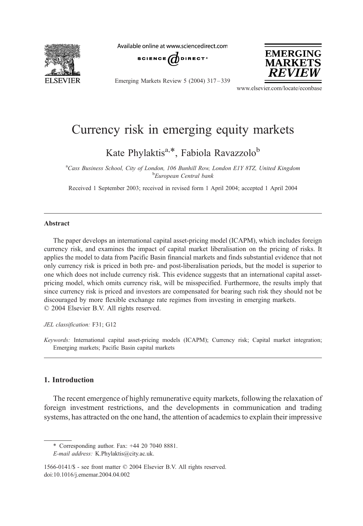

Available online at www.sciencedirect.com





Emerging Markets Review 5 (2004) 317 – 339

www.elsevier.com/locate/econbase

## Currency risk in emerging equity markets

Kate Phylaktis<sup>a,\*</sup>, Fabiola Ravazzolo<sup>b</sup>

<sup>a</sup>Cass Business School, City of London, 106 Bunhill Row, London E1Y 8TZ, United Kingdom<br><sup>b</sup>European Central bank <sup>b</sup>European Central bank

Received 1 September 2003; received in revised form 1 April 2004; accepted 1 April 2004

## Abstract

The paper develops an international capital asset-pricing model (ICAPM), which includes foreign currency risk, and examines the impact of capital market liberalisation on the pricing of risks. It applies the model to data from Pacific Basin financial markets and finds substantial evidence that not only currency risk is priced in both pre- and post-liberalisation periods, but the model is superior to one which does not include currency risk. This evidence suggests that an international capital assetpricing model, which omits currency risk, will be misspecified. Furthermore, the results imply that since currency risk is priced and investors are compensated for bearing such risk they should not be discouraged by more flexible exchange rate regimes from investing in emerging markets.  $\odot$  2004 Elsevier B.V. All rights reserved.

JEL classification: F31; G12

Keywords: International capital asset-pricing models (ICAPM); Currency risk; Capital market integration; Emerging markets; Pacific Basin capital markets

## 1. Introduction

The recent emergence of highly remunerative equity markets, following the relaxation of foreign investment restrictions, and the developments in communication and trading systems, has attracted on the one hand, the attention of academics to explain their impressive

<sup>\*</sup> Corresponding author. Fax: +44 20 7040 8881.

E-mail address: K.Phylaktis@city.ac.uk.

<sup>1566-0141/\$ -</sup> see front matter © 2004 Elsevier B.V. All rights reserved. doi:10.1016/j.ememar.2004.04.002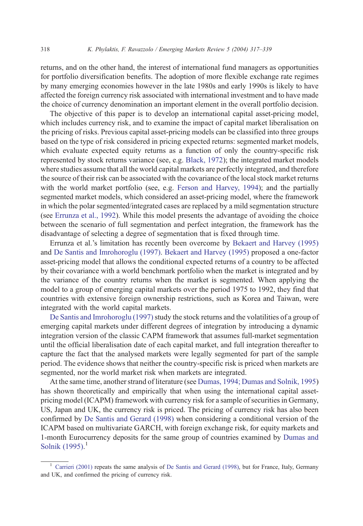returns, and on the other hand, the interest of international fund managers as opportunities for portfolio diversification benefits. The adoption of more flexible exchange rate regimes by many emerging economies however in the late 1980s and early 1990s is likely to have affected the foreign currency risk associated with international investment and to have made the choice of currency denomination an important element in the overall portfolio decision.

The objective of this paper is to develop an international capital asset-pricing model, which includes currency risk, and to examine the impact of capital market liberalisation on the pricing of risks. Previous capital asset-pricing models can be classified into three groups based on the type of risk considered in pricing expected returns: segmented market models, which evaluate expected equity returns as a function of only the country-specific risk represented by stock returns variance (see, e.g. [Black, 1972\)](#page--1-0); the integrated market models where studies assume that all the world capital markets are perfectly integrated, and therefore the source of their risk can be associated with the covariance of the local stock market returns with the world market portfolio (see, e.g. [Ferson and Harvey, 1994\)](#page--1-0); and the partially segmented market models, which considered an asset-pricing model, where the framework in which the polar segmented/integrated cases are replaced by a mild segmentation structure (see [Errunza et al., 1992\)](#page--1-0). While this model presents the advantage of avoiding the choice between the scenario of full segmentation and perfect integration, the framework has the disadvantage of selecting a degree of segmentation that is fixed through time.

Errunza et al.'s limitation has recently been overcome by [Bekaert and Harvey \(1995\)](#page--1-0) and [De Santis and Imrohoroglu \(1997\).](#page--1-0) [Bekaert and Harvey \(1995\)](#page--1-0) proposed a one-factor asset-pricing model that allows the conditional expected returns of a country to be affected by their covariance with a world benchmark portfolio when the market is integrated and by the variance of the country returns when the market is segmented. When applying the model to a group of emerging capital markets over the period 1975 to 1992, they find that countries with extensive foreign ownership restrictions, such as Korea and Taiwan, were integrated with the world capital markets.

[De Santis and Imrohoroglu \(1997\)](#page--1-0) study the stock returns and the volatilities of a group of emerging capital markets under different degrees of integration by introducing a dynamic integration version of the classic CAPM framework that assumes full-market segmentation until the official liberalisation date of each capital market, and full integration thereafter to capture the fact that the analysed markets were legally segmented for part of the sample period. The evidence shows that neither the country-specific risk is priced when markets are segmented, nor the world market risk when markets are integrated.

At the same time, another strand of literature (see [Dumas, 1994; Dumas and Solnik, 1995\)](#page--1-0) has shown theoretically and empirically that when using the international capital assetpricing model (ICAPM) framework with currency risk for a sample of securities in Germany, US, Japan and UK, the currency risk is priced. The pricing of currency risk has also been confirmed by [De Santis and Gerard \(1998\)](#page--1-0) when considering a conditional version of the ICAPM based on multivariate GARCH, with foreign exchange risk, for equity markets and 1-month Eurocurrency deposits for the same group of countries examined by [Dumas and](#page--1-0) Solnik (1995).<sup>1</sup>

<sup>&</sup>lt;sup>1</sup> [Carrieri \(2001\)](#page--1-0) repeats the same analysis of [De Santis and Gerard \(1998\),](#page--1-0) but for France, Italy, Germany and UK, and confirmed the pricing of currency risk.